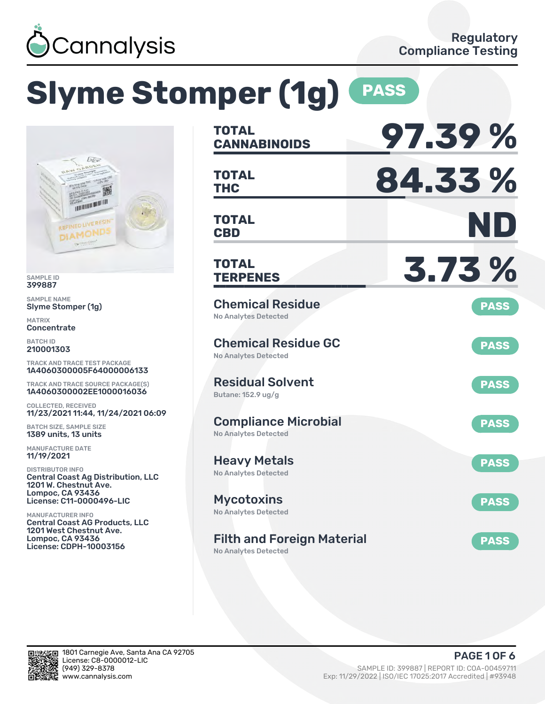

# **Slyme Stomper (1g) PASS**



SAMPLE ID 399887

SAMPLE NAME Slyme Stomper (1g)

MATRIX **Concentrate** 

BATCH ID 210001303

TRACK AND TRACE TEST PACKAGE 1A4060300005F64000006133

TRACK AND TRACE SOURCE PACKAGE(S) 1A4060300002EE1000016036

COLLECTED, RECEIVED 11/23/2021 11:44, 11/24/2021 06:09

BATCH SIZE, SAMPLE SIZE 1389 units, 13 units

MANUFACTURE DATE 11/19/2021

DISTRIBUTOR INFO Central Coast Ag Distribution, LLC 1201 W. Chestnut Ave. Lompoc, CA 93436 License: C11-0000496-LIC

MANUFACTURER INFO Central Coast AG Products, LLC 1201 West Chestnut Ave. Lompoc, CA 93436 License: CDPH-10003156

| <b>TOTAL</b><br><b>CANNABINOIDS</b>                        | 97.39%      |
|------------------------------------------------------------|-------------|
| <b>TOTAL</b><br><b>THC</b>                                 | 84.33%      |
| <b>TOTAL</b><br><b>CBD</b>                                 | ND          |
| <b>TOTAL</b><br><b>TERPENES</b>                            | 3.73 %      |
| <b>Chemical Residue</b><br><b>No Analytes Detected</b>     | <b>PASS</b> |
| <b>Chemical Residue GC</b><br><b>No Analytes Detected</b>  | <b>PASS</b> |
| <b>Residual Solvent</b><br>Butane: 152.9 ug/g              | <b>PASS</b> |
| <b>Compliance Microbial</b><br><b>No Analytes Detected</b> | <b>PASS</b> |
| <b>Heavy Metals</b><br><b>No Analytes Detected</b>         | <b>PASS</b> |
| <b>Mycotoxins</b><br>No Analytes Detected                  | <b>PASS</b> |
| <b>Filth and Foreign Material</b>                          | <b>PASS</b> |

No Analytes Detected

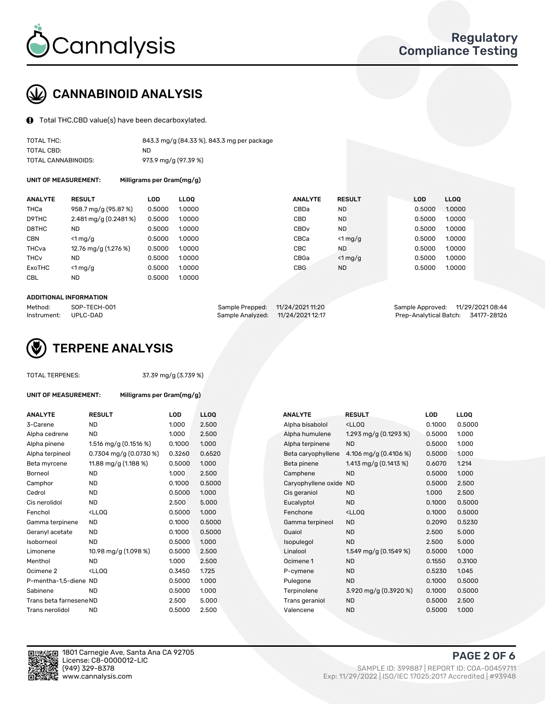

# CANNABINOID ANALYSIS

Total THC,CBD value(s) have been decarboxylated.

| TOTAL THC:          | 843.3 mg/g (84.33 %), 843.3 mg per package |
|---------------------|--------------------------------------------|
| TOTAL CBD:          | ND                                         |
| TOTAL CANNABINOIDS: | 973.9 mg/g (97.39 %)                       |

UNIT OF MEASUREMENT: Milligrams per Gram(mg/g)

| <b>ANALYTE</b>         | <b>RESULT</b>                      | <b>LOD</b> | <b>LLOO</b> | <b>ANALYTE</b>   | <b>RESULT</b> | <b>LOD</b> | LL <sub>00</sub> |
|------------------------|------------------------------------|------------|-------------|------------------|---------------|------------|------------------|
| THCa                   | 958.7 mg/g (95.87 %)               | 0.5000     | 1.0000      | CBDa             | <b>ND</b>     | 0.5000     | 1.0000           |
| D9THC                  | $2.481 \,\mathrm{mag/g}$ (0.2481%) | 0.5000     | 1.0000      | CBD              | <b>ND</b>     | 0.5000     | 1.0000           |
| D8THC                  | <b>ND</b>                          | 0.5000     | 1.0000      | CBD <sub>v</sub> | <b>ND</b>     | 0.5000     | 1.0000           |
| <b>CBN</b>             | $<$ 1 mg/g                         | 0.5000     | 1.0000      | CBCa             | $<$ 1 mg/g    | 0.5000     | 1.0000           |
| THCva                  | 12.76 mg/g (1.276 %)               | 0.5000     | 1.0000      | <b>CBC</b>       | ND.           | 0.5000     | 1.0000           |
| <b>THC<sub>v</sub></b> | <b>ND</b>                          | 0.5000     | 1.0000      | CBGa             | $<$ 1 mg/g    | 0.5000     | 1.0000           |
| ExoTHC                 | $<$ 1 mg/g                         | 0.5000     | 1.0000      | <b>CBG</b>       | <b>ND</b>     | 0.5000     | 1.0000           |
| <b>CBL</b>             | <b>ND</b>                          | 0.5000     | 1.0000      |                  |               |            |                  |
|                        |                                    |            |             |                  |               |            |                  |

#### ADDITIONAL INFORMATION

| Method:              | SOP-TECH-001 | Sample Prepped: 11/24/2021 11:20  | Sample Approved: 11/29/2021 08:44  |  |
|----------------------|--------------|-----------------------------------|------------------------------------|--|
| Instrument: UPLC-DAD |              | Sample Analyzed: 11/24/2021 12:17 | Prep-Analytical Batch: 34177-28126 |  |



TOTAL TERPENES: 37.39 mg/g (3.739 %)

| UNIT OF MEASUREMENT: | Milligrams per Gram(mg/g) |
|----------------------|---------------------------|
|                      |                           |

| <b>ANALYTE</b>          | <b>RESULT</b>                                                                                                                   | <b>LOD</b> | LL <sub>OO</sub> | <b>ANALYTE</b>         | <b>RESULT</b>                                       | <b>LOD</b> | <b>LLOQ</b> |
|-------------------------|---------------------------------------------------------------------------------------------------------------------------------|------------|------------------|------------------------|-----------------------------------------------------|------------|-------------|
| 3-Carene                | <b>ND</b>                                                                                                                       | 1.000      | 2.500            | Alpha bisabolol        | <ll0q< td=""><td>0.1000</td><td>0.5000</td></ll0q<> | 0.1000     | 0.5000      |
| Alpha cedrene           | ND.                                                                                                                             | 1.000      | 2.500            | Alpha humulene         | 1.293 mg/g $(0.1293\%)$                             | 0.5000     | 1.000       |
| Alpha pinene            | 1.516 mg/g $(0.1516%)$                                                                                                          | 0.1000     | 1.000            | Alpha terpinene        | <b>ND</b>                                           | 0.5000     | 1.000       |
| Alpha terpineol         | 0.7304 mg/g $(0.0730\%)$                                                                                                        | 0.3260     | 0.6520           | Beta caryophyllene     | 4.106 mg/g $(0.4106\%)$                             | 0.5000     | 1.000       |
| Beta myrcene            | 11.88 mg/g (1.188 %)                                                                                                            | 0.5000     | 1.000            | Beta pinene            | 1.413 mg/g $(0.1413 \%)$                            | 0.6070     | 1.214       |
| <b>Borneol</b>          | <b>ND</b>                                                                                                                       | 1.000      | 2.500            | Camphene               | <b>ND</b>                                           | 0.5000     | 1.000       |
| Camphor                 | <b>ND</b>                                                                                                                       | 0.1000     | 0.5000           | Caryophyllene oxide ND |                                                     | 0.5000     | 2.500       |
| Cedrol                  | <b>ND</b>                                                                                                                       | 0.5000     | 1.000            | Cis geraniol           | <b>ND</b>                                           | 1.000      | 2.500       |
| Cis nerolidol           | <b>ND</b>                                                                                                                       | 2.500      | 5.000            | Eucalyptol             | <b>ND</b>                                           | 0.1000     | 0.5000      |
| Fenchol                 | <lloq< td=""><td>0.5000</td><td>1.000</td><td>Fenchone</td><td><ll0q< td=""><td>0.1000</td><td>0.5000</td></ll0q<></td></lloq<> | 0.5000     | 1.000            | Fenchone               | <ll0q< td=""><td>0.1000</td><td>0.5000</td></ll0q<> | 0.1000     | 0.5000      |
| Gamma terpinene         | ND.                                                                                                                             | 0.1000     | 0.5000           | Gamma terpineol        | <b>ND</b>                                           | 0.2090     | 0.5230      |
| Geranyl acetate         | <b>ND</b>                                                                                                                       | 0.1000     | 0.5000           | Guaiol                 | <b>ND</b>                                           | 2.500      | 5.000       |
| Isoborneol              | <b>ND</b>                                                                                                                       | 0.5000     | 1.000            | Isopulegol             | <b>ND</b>                                           | 2.500      | 5.000       |
| Limonene                | 10.98 mg/g (1.098 %)                                                                                                            | 0.5000     | 2.500            | Linalool               | 1.549 mg/g $(0.1549\%)$                             | 0.5000     | 1.000       |
| Menthol                 | ND.                                                                                                                             | 1.000      | 2.500            | Ocimene 1              | <b>ND</b>                                           | 0.1550     | 0.3100      |
| Ocimene <sub>2</sub>    | $<$ LLOO                                                                                                                        | 0.3450     | 1.725            | P-cymene               | <b>ND</b>                                           | 0.5230     | 1.045       |
| P-mentha-1,5-diene ND   |                                                                                                                                 | 0.5000     | 1.000            | Pulegone               | <b>ND</b>                                           | 0.1000     | 0.5000      |
| Sabinene                | <b>ND</b>                                                                                                                       | 0.5000     | 1.000            | Terpinolene            | 3.920 mg/g (0.3920 %)                               | 0.1000     | 0.5000      |
| Trans beta farnesene ND |                                                                                                                                 | 2.500      | 5.000            | Trans geraniol         | <b>ND</b>                                           | 0.5000     | 2.500       |
| Trans nerolidol         | <b>ND</b>                                                                                                                       | 0.5000     | 2.500            | Valencene              | <b>ND</b>                                           | 0.5000     | 1.000       |
|                         |                                                                                                                                 |            |                  |                        |                                                     |            |             |

| ANALYTE             | <b>RESULT</b>                                       | LOD    | <b>LLOQ</b> |
|---------------------|-----------------------------------------------------|--------|-------------|
| Alpha bisabolol     | <lloq< td=""><td>0.1000</td><td>0.5000</td></lloq<> | 0.1000 | 0.5000      |
| Alpha humulene      | 1.293 mg/g $(0.1293\%)$                             | 0.5000 | 1.000       |
| Alpha terpinene     | <b>ND</b>                                           | 0.5000 | 1.000       |
| Beta caryophyllene  | 4.106 mg/g $(0.4106\%)$                             | 0.5000 | 1.000       |
| Beta pinene         | 1.413 mg/g $(0.1413 \%)$                            | 0.6070 | 1.214       |
| Camphene            | <b>ND</b>                                           | 0.5000 | 1.000       |
| Caryophyllene oxide | <b>ND</b>                                           | 0.5000 | 2.500       |
| Cis geraniol        | <b>ND</b>                                           | 1.000  | 2.500       |
| Eucalyptol          | <b>ND</b>                                           | 0.1000 | 0.5000      |
| Fenchone            | <lloq< td=""><td>0.1000</td><td>0.5000</td></lloq<> | 0.1000 | 0.5000      |
| Gamma terpineol     | <b>ND</b>                                           | 0.2090 | 0.5230      |
| Guaiol              | <b>ND</b>                                           | 2.500  | 5.000       |
| Isopulegol          | <b>ND</b>                                           | 2.500  | 5.000       |
| Linalool            | 1.549 mg/g $(0.1549\%)$                             | 0.5000 | 1.000       |
| Ocimene 1           | <b>ND</b>                                           | 0.1550 | 0.3100      |
| P-cymene            | <b>ND</b>                                           | 0.5230 | 1.045       |
| Pulegone            | <b>ND</b>                                           | 0.1000 | 0.5000      |
| Terpinolene         | 3.920 mg/g (0.3920 %)                               | 0.1000 | 0.5000      |
| Trans geraniol      | <b>ND</b>                                           | 0.5000 | 2.500       |
| Valencene           | <b>ND</b>                                           | 0.5000 | 1.000       |



PAGE 2 OF 6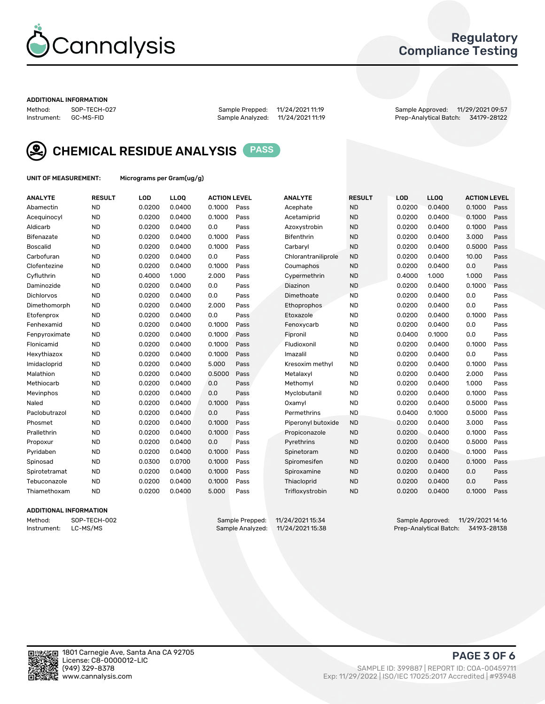

## Regulatory Compliance Testing

#### ADDITIONAL INFORMATION

Method: SOP-TECH-027 Sample Prepped: 11/24/2021 11:19 Sample Approved: 11/29/2021 09:57 Prep-Analytical Batch: 34179-28122



CHEMICAL RESIDUE ANALYSIS PASS

UNIT OF MEASUREMENT: Micrograms per Gram(ug/g)

| <b>ANALYTE</b>    | <b>RESULT</b> | LOD    | LLOQ   | <b>ACTION LEVEL</b> |      | <b>ANALYTE</b>      | <b>RESULT</b> | LOD    | <b>LLOQ</b> | <b>ACTION LEVEL</b> |      |
|-------------------|---------------|--------|--------|---------------------|------|---------------------|---------------|--------|-------------|---------------------|------|
| Abamectin         | <b>ND</b>     | 0.0200 | 0.0400 | 0.1000              | Pass | Acephate            | <b>ND</b>     | 0.0200 | 0.0400      | 0.1000              | Pass |
| Acequinocyl       | <b>ND</b>     | 0.0200 | 0.0400 | 0.1000              | Pass | Acetamiprid         | <b>ND</b>     | 0.0200 | 0.0400      | 0.1000              | Pass |
| Aldicarb          | <b>ND</b>     | 0.0200 | 0.0400 | 0.0                 | Pass | Azoxystrobin        | <b>ND</b>     | 0.0200 | 0.0400      | 0.1000              | Pass |
| Bifenazate        | <b>ND</b>     | 0.0200 | 0.0400 | 0.1000              | Pass | Bifenthrin          | <b>ND</b>     | 0.0200 | 0.0400      | 3.000               | Pass |
| <b>Boscalid</b>   | <b>ND</b>     | 0.0200 | 0.0400 | 0.1000              | Pass | Carbaryl            | <b>ND</b>     | 0.0200 | 0.0400      | 0.5000              | Pass |
| Carbofuran        | <b>ND</b>     | 0.0200 | 0.0400 | 0.0                 | Pass | Chlorantraniliprole | <b>ND</b>     | 0.0200 | 0.0400      | 10.00               | Pass |
| Clofentezine      | <b>ND</b>     | 0.0200 | 0.0400 | 0.1000              | Pass | Coumaphos           | <b>ND</b>     | 0.0200 | 0.0400      | 0.0                 | Pass |
| Cyfluthrin        | <b>ND</b>     | 0.4000 | 1.000  | 2.000               | Pass | Cypermethrin        | <b>ND</b>     | 0.4000 | 1.000       | 1.000               | Pass |
| Daminozide        | <b>ND</b>     | 0.0200 | 0.0400 | 0.0                 | Pass | Diazinon            | <b>ND</b>     | 0.0200 | 0.0400      | 0.1000              | Pass |
| <b>Dichlorvos</b> | <b>ND</b>     | 0.0200 | 0.0400 | 0.0                 | Pass | Dimethoate          | <b>ND</b>     | 0.0200 | 0.0400      | 0.0                 | Pass |
| Dimethomorph      | <b>ND</b>     | 0.0200 | 0.0400 | 2.000               | Pass | Ethoprophos         | <b>ND</b>     | 0.0200 | 0.0400      | 0.0                 | Pass |
| Etofenprox        | <b>ND</b>     | 0.0200 | 0.0400 | 0.0                 | Pass | Etoxazole           | <b>ND</b>     | 0.0200 | 0.0400      | 0.1000              | Pass |
| Fenhexamid        | <b>ND</b>     | 0.0200 | 0.0400 | 0.1000              | Pass | Fenoxycarb          | <b>ND</b>     | 0.0200 | 0.0400      | 0.0                 | Pass |
| Fenpyroximate     | <b>ND</b>     | 0.0200 | 0.0400 | 0.1000              | Pass | Fipronil            | <b>ND</b>     | 0.0400 | 0.1000      | 0.0                 | Pass |
| Flonicamid        | <b>ND</b>     | 0.0200 | 0.0400 | 0.1000              | Pass | Fludioxonil         | <b>ND</b>     | 0.0200 | 0.0400      | 0.1000              | Pass |
| Hexythiazox       | <b>ND</b>     | 0.0200 | 0.0400 | 0.1000              | Pass | Imazalil            | <b>ND</b>     | 0.0200 | 0.0400      | 0.0                 | Pass |
| Imidacloprid      | <b>ND</b>     | 0.0200 | 0.0400 | 5.000               | Pass | Kresoxim methyl     | <b>ND</b>     | 0.0200 | 0.0400      | 0.1000              | Pass |
| Malathion         | <b>ND</b>     | 0.0200 | 0.0400 | 0.5000              | Pass | Metalaxyl           | <b>ND</b>     | 0.0200 | 0.0400      | 2.000               | Pass |
| Methiocarb        | <b>ND</b>     | 0.0200 | 0.0400 | 0.0                 | Pass | Methomyl            | <b>ND</b>     | 0.0200 | 0.0400      | 1.000               | Pass |
| Mevinphos         | <b>ND</b>     | 0.0200 | 0.0400 | 0.0                 | Pass | Myclobutanil        | <b>ND</b>     | 0.0200 | 0.0400      | 0.1000              | Pass |
| Naled             | <b>ND</b>     | 0.0200 | 0.0400 | 0.1000              | Pass | Oxamyl              | <b>ND</b>     | 0.0200 | 0.0400      | 0.5000              | Pass |
| Paclobutrazol     | <b>ND</b>     | 0.0200 | 0.0400 | 0.0                 | Pass | Permethrins         | <b>ND</b>     | 0.0400 | 0.1000      | 0.5000              | Pass |
| Phosmet           | <b>ND</b>     | 0.0200 | 0.0400 | 0.1000              | Pass | Piperonyl butoxide  | <b>ND</b>     | 0.0200 | 0.0400      | 3.000               | Pass |
| Prallethrin       | <b>ND</b>     | 0.0200 | 0.0400 | 0.1000              | Pass | Propiconazole       | <b>ND</b>     | 0.0200 | 0.0400      | 0.1000              | Pass |
| Propoxur          | <b>ND</b>     | 0.0200 | 0.0400 | 0.0                 | Pass | Pyrethrins          | <b>ND</b>     | 0.0200 | 0.0400      | 0.5000              | Pass |
| Pyridaben         | <b>ND</b>     | 0.0200 | 0.0400 | 0.1000              | Pass | Spinetoram          | <b>ND</b>     | 0.0200 | 0.0400      | 0.1000              | Pass |
| Spinosad          | <b>ND</b>     | 0.0300 | 0.0700 | 0.1000              | Pass | Spiromesifen        | <b>ND</b>     | 0.0200 | 0.0400      | 0.1000              | Pass |
| Spirotetramat     | <b>ND</b>     | 0.0200 | 0.0400 | 0.1000              | Pass | Spiroxamine         | <b>ND</b>     | 0.0200 | 0.0400      | 0.0                 | Pass |
| Tebuconazole      | <b>ND</b>     | 0.0200 | 0.0400 | 0.1000              | Pass | Thiacloprid         | <b>ND</b>     | 0.0200 | 0.0400      | 0.0                 | Pass |
| Thiamethoxam      | <b>ND</b>     | 0.0200 | 0.0400 | 5.000               | Pass | Trifloxystrobin     | <b>ND</b>     | 0.0200 | 0.0400      | 0.1000              | Pass |
|                   |               |        |        |                     |      |                     |               |        |             |                     |      |

### ADDITIONAL INFORMATION

Method: SOP-TECH-002 Sample Prepped: 11/24/2021 15:34 Sample Approved: 11/29/2021 14:16<br>Instrument: LC-MS/MS Sample Analyzed: 11/24/2021 15:38 Prep-Analytical Batch: 34193-28138 Prep-Analytical Batch: 34193-28138

PAGE 3 OF 6

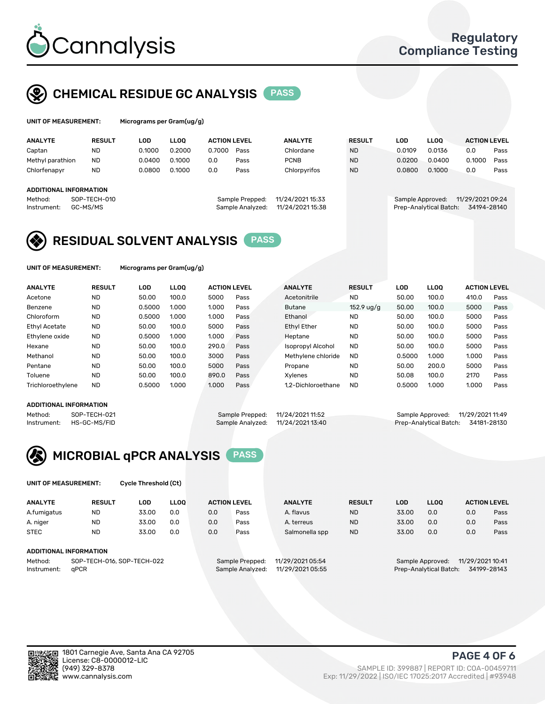

# CHEMICAL RESIDUE GC ANALYSIS PASS

| UNIT OF MEASUREMENT: |  | Micrograms per Gram(ug/g) |  |  |  |  |
|----------------------|--|---------------------------|--|--|--|--|
|                      |  |                           |  |  |  |  |
|                      |  |                           |  |  |  |  |

| <b>ANALYTE</b>                | <b>RESULT</b> | LOD    | <b>LLOO</b> | <b>ACTION LEVEL</b> |                  | <b>ANALYTE</b>   | <b>RESULT</b> | LOD              | LLOO                   | <b>ACTION LEVEL</b> |      |
|-------------------------------|---------------|--------|-------------|---------------------|------------------|------------------|---------------|------------------|------------------------|---------------------|------|
| Captan                        | ND            | 0.1000 | 0.2000      | 0.7000              | Pass             | Chlordane        | <b>ND</b>     | 0.0109           | 0.0136                 | 0.0                 | Pass |
| Methyl parathion              | <b>ND</b>     | 0.0400 | 0.1000      | 0.0                 | Pass             | <b>PCNB</b>      | <b>ND</b>     | 0.0200           | 0.0400                 | 0.1000              | Pass |
| Chlorfenapyr                  | <b>ND</b>     | 0.0800 | 0.1000      | 0.0                 | Pass             | Chlorpyrifos     | <b>ND</b>     | 0.0800           | 0.1000                 | 0.0                 | Pass |
|                               |               |        |             |                     |                  |                  |               |                  |                        |                     |      |
| <b>ADDITIONAL INFORMATION</b> |               |        |             |                     |                  |                  |               |                  |                        |                     |      |
| Method:                       | SOP-TECH-010  |        |             |                     | Sample Prepped:  | 11/24/2021 15:33 |               | Sample Approved: |                        | 11/29/2021 09:24    |      |
| Instrument:                   | GC-MS/MS      |        |             |                     | Sample Analyzed: | 11/24/2021 15:38 |               |                  | Prep-Analytical Batch: | 34194-28140         |      |
|                               |               |        |             |                     |                  |                  |               |                  |                        |                     |      |

# RESIDUAL SOLVENT ANALYSIS PASS

UNIT OF MEASUREMENT: Micrograms per Gram(ug/g)

| <b>ANALYTE</b>       | <b>RESULT</b> | <b>LOD</b> | <b>LLOO</b> | <b>ACTION LEVEL</b> |      | <b>ANALYTE</b>           | <b>RESULT</b> | LOD    | <b>LLOO</b> | <b>ACTION LEVEL</b> |      |
|----------------------|---------------|------------|-------------|---------------------|------|--------------------------|---------------|--------|-------------|---------------------|------|
| Acetone              | <b>ND</b>     | 50.00      | 100.0       | 5000                | Pass | Acetonitrile             | <b>ND</b>     | 50.00  | 100.0       | 410.0               | Pass |
| Benzene              | <b>ND</b>     | 0.5000     | 1.000       | 1.000               | Pass | <b>Butane</b>            | 152.9 ug/g    | 50.00  | 100.0       | 5000                | Pass |
| Chloroform           | <b>ND</b>     | 0.5000     | 1.000       | 1.000               | Pass | Ethanol                  | <b>ND</b>     | 50.00  | 100.0       | 5000                | Pass |
| <b>Ethyl Acetate</b> | <b>ND</b>     | 50.00      | 100.0       | 5000                | Pass | <b>Ethyl Ether</b>       | <b>ND</b>     | 50.00  | 100.0       | 5000                | Pass |
| Ethylene oxide       | <b>ND</b>     | 0.5000     | 1.000       | 1.000               | Pass | Heptane                  | <b>ND</b>     | 50.00  | 100.0       | 5000                | Pass |
| Hexane               | <b>ND</b>     | 50.00      | 100.0       | 290.0               | Pass | <b>Isopropyl Alcohol</b> | <b>ND</b>     | 50.00  | 100.0       | 5000                | Pass |
| Methanol             | <b>ND</b>     | 50.00      | 100.0       | 3000                | Pass | Methylene chloride       | <b>ND</b>     | 0.5000 | 1.000       | 1.000               | Pass |
| Pentane              | <b>ND</b>     | 50.00      | 100.0       | 5000                | Pass | Propane                  | <b>ND</b>     | 50.00  | 200.0       | 5000                | Pass |
| Toluene              | <b>ND</b>     | 50.00      | 100.0       | 890.0               | Pass | Xvlenes                  | <b>ND</b>     | 50.08  | 100.0       | 2170                | Pass |
| Trichloroethylene    | <b>ND</b>     | 0.5000     | 1.000       | 1.000               | Pass | 1.2-Dichloroethane       | <b>ND</b>     | 0.5000 | 1.000       | 1.000               | Pass |

#### ADDITIONAL INFORMATION

| ADDITIONAL INFORMATION |              |                                   |                                    |  |
|------------------------|--------------|-----------------------------------|------------------------------------|--|
| Method:                | SOP-TECH-021 | Sample Prepped: 11/24/2021 11:52  | Sample Approved: 11/29/2021 11:49  |  |
| Instrument:            | HS-GC-MS/FID | Sample Analyzed: 11/24/2021 13:40 | Prep-Analytical Batch: 34181-28130 |  |



UNIT OF MEASUREMENT: Cycle Threshold (Ct)

| <b>ANALYTE</b>         | <b>RESULT</b>              | LOD   | <b>LLOO</b> |                  | <b>ACTION LEVEL</b> | <b>ANALYTE</b>   | <b>RESULT</b> | LOD                                  | <b>LLOO</b> |             | <b>ACTION LEVEL</b> |  |
|------------------------|----------------------------|-------|-------------|------------------|---------------------|------------------|---------------|--------------------------------------|-------------|-------------|---------------------|--|
| A.fumigatus            | <b>ND</b>                  | 33.00 | 0.0         | 0.0              | Pass                | A. flavus        | <b>ND</b>     | 33.00                                | 0.0         | 0.0         | Pass                |  |
| A. niger               | <b>ND</b>                  | 33.00 | 0.0         | 0.0              | Pass                | A. terreus       | <b>ND</b>     | 33.00                                | 0.0         | 0.0         | Pass                |  |
| <b>STEC</b>            | <b>ND</b>                  | 33.00 | 0.0         | 0.0              | Pass                | Salmonella spp   | <b>ND</b>     | 33.00                                | 0.0         | 0.0         | Pass                |  |
| ADDITIONAL INFORMATION |                            |       |             |                  |                     |                  |               |                                      |             |             |                     |  |
| Method:                | SOP-TECH-016, SOP-TECH-022 |       |             |                  | Sample Prepped:     | 11/29/2021 05:54 |               | 11/29/2021 10:41<br>Sample Approved: |             |             |                     |  |
| Instrument:<br>aPCR    |                            |       |             | Sample Analyzed: | 11/29/2021 05:55    |                  |               | Prep-Analytical Batch:               |             | 34199-28143 |                     |  |

(949) 329-8378 SAMPLE ID: 399887 | REPORT ID: COA-00459711 Exp: 11/29/2022 | ISO/IEC 17025:2017 Accredited | #93948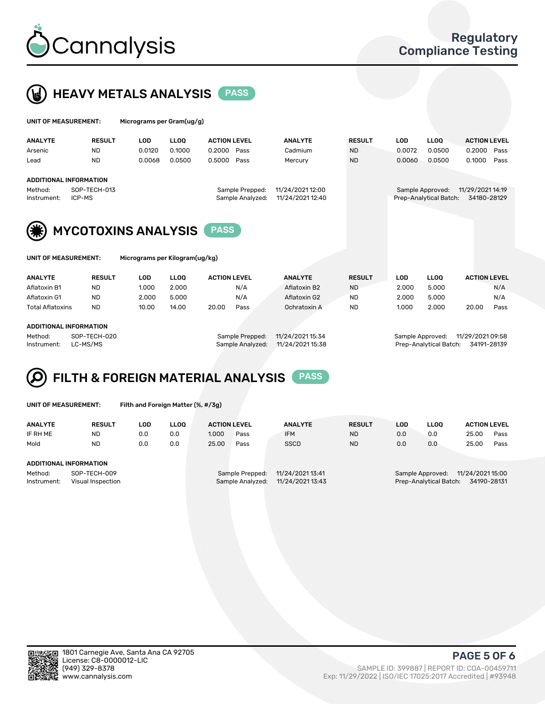



|                         | UNIT OF MEASUREMENT:        |                            | Micrograms per Gram(ug/g) |                                     |                     |                  |                                      |               |            |                        |                     |      |
|-------------------------|-----------------------------|----------------------------|---------------------------|-------------------------------------|---------------------|------------------|--------------------------------------|---------------|------------|------------------------|---------------------|------|
|                         | <b>ANALYTE</b>              | <b>RESULT</b>              | <b>LOD</b>                | <b>LLOQ</b>                         | <b>ACTION LEVEL</b> |                  | <b>ANALYTE</b>                       | <b>RESULT</b> | <b>LOD</b> | <b>LLOQ</b>            | <b>ACTION LEVEL</b> |      |
|                         | Arsenic                     | <b>ND</b>                  | 0.0120                    | 0.1000                              | 0.2000              | Pass             | Cadmium                              | ND.           | 0.0072     | 0.0500                 | 0.2000              | Pass |
|                         | Lead                        | <b>ND</b>                  | 0.0068                    | 0.0500                              | 0.5000              | Pass             | Mercury                              | <b>ND</b>     | 0.0060     | 0.0500                 | 0.1000              | Pass |
|                         | ADDITIONAL INFORMATION      |                            |                           |                                     |                     |                  |                                      |               |            |                        |                     |      |
| SOP-TECH-013<br>Method: |                             |                            |                           | 11/24/2021 12:00<br>Sample Prepped: |                     |                  | 11/29/2021 14:19<br>Sample Approved: |               |            |                        |                     |      |
|                         | Instrument:                 | ICP-MS                     |                           |                                     |                     | Sample Analyzed: | 11/24/2021 12:40                     |               |            | Prep-Analytical Batch: | 34180-28129         |      |
|                         | (纂)<br>UNIT OF MEASUREMENT: | <b>MYCOTOXINS ANALYSIS</b> |                           |                                     |                     |                  |                                      |               |            |                        |                     |      |

| <b>ANALYTE</b>          | <b>RESULT</b> | ∟OD             | LOO              | <b>ACTION LEVEL</b> | <b>ANALYTE</b>   | <b>RESULT</b> | LOD              | LLOO  | <b>ACTION LEVEL</b> |      |
|-------------------------|---------------|-----------------|------------------|---------------------|------------------|---------------|------------------|-------|---------------------|------|
| Aflatoxin B1            | <b>ND</b>     | 1.000           | 2.000            | N/A                 | Aflatoxin B2     | <b>ND</b>     | 2.000            | 5.000 |                     | N/A  |
| Aflatoxin G1            | <b>ND</b>     | 2.000           | 5.000            | N/A                 | Aflatoxin G2     | <b>ND</b>     | 2.000            | 5.000 |                     | N/A  |
| <b>Total Aflatoxins</b> | <b>ND</b>     | 10.00           | 14.00            | 20.00<br>Pass       | Ochratoxin A     | <b>ND</b>     | 1.000            | 2.000 | 20.00               | Pass |
|                         |               |                 |                  |                     |                  |               |                  |       |                     |      |
| ADDITIONAL INFORMATION  |               |                 |                  |                     |                  |               |                  |       |                     |      |
| Method:<br>SOP-TECH-020 |               | Sample Prepped: | 11/24/2021 15:34 |                     | Sample Approved: |               | 11/29/2021 09:58 |       |                     |      |

Instrument: LC-MS/MS Sample Analyzed: 11/24/2021 15:38 Prep-Analytical Batch: 34191-28139



Filth and Foreign Matter (%, #/3g)

| <b>ANALYTE</b>                                              | <b>RESULT</b> | LOD | <b>LLOO</b> | <b>ACTION LEVEL</b> |                                     | <b>ANALYTE</b>                       | <b>RESULT</b> | LOD | LLOO                                       | <b>ACTION LEVEL</b>             |      |
|-------------------------------------------------------------|---------------|-----|-------------|---------------------|-------------------------------------|--------------------------------------|---------------|-----|--------------------------------------------|---------------------------------|------|
| IF RH ME                                                    | <b>ND</b>     | 0.0 | 0.0         | 1.000               | Pass                                | <b>IFM</b>                           | <b>ND</b>     | 0.0 | 0.0                                        | 25.00                           | Pass |
| Mold                                                        | <b>ND</b>     | 0.0 | 0.0         | 25.00               | Pass                                | <b>SSCD</b>                          | <b>ND</b>     | 0.0 | 0.0                                        | 25.00                           | Pass |
| ADDITIONAL INFORMATION                                      |               |     |             |                     |                                     |                                      |               |     |                                            |                                 |      |
| SOP-TECH-009<br>Method:<br>Visual Inspection<br>Instrument: |               |     |             |                     | Sample Prepped:<br>Sample Analyzed: | 11/24/2021 13:41<br>11/24/2021 13:43 |               |     | Sample Approved:<br>Prep-Analytical Batch: | 11/24/2021 15:00<br>34190-28131 |      |



PAGE 5 OF 6